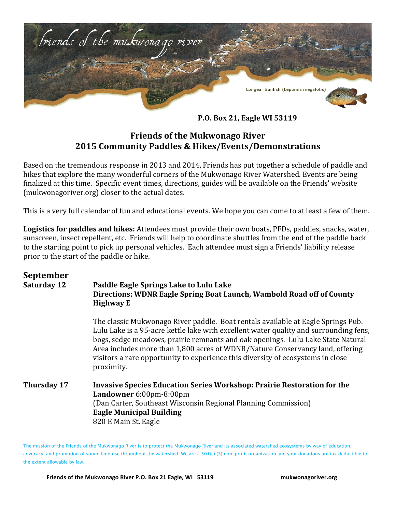

**P.O. Box 21, Eagle WI 53119**

## **Friends of the Mukwonago River 2015 Community Paddles & Hikes/Events/Demonstrations**

Based on the tremendous response in 2013 and 2014, Friends has put together a schedule of paddle and hikes that explore the many wonderful corners of the Mukwonago River Watershed. Events are being finalized at this time. Specific event times, directions, guides will be available on the Friends' website (mukwonagoriver.org) closer to the actual dates.

This is a very full calendar of fun and educational events. We hope you can come to at least a few of them.

**Logistics for paddles and hikes:** Attendees must provide their own boats, PFDs, paddles, snacks, water, sunscreen, insect repellent, etc. Friends will help to coordinate shuttles from the end of the paddle back to the starting point to pick up personal vehicles. Each attendee must sign a Friends' liability release prior to the start of the paddle or hike.

## **September**

## **Saturday 12 Paddle Eagle Springs Lake to Lulu Lake Directions: WDNR Eagle Spring Boat Launch, Wambold Road off of County Highway E**

The classic Mukwonago River paddle. Boat rentals available at Eagle Springs Pub. Lulu Lake is a 95-acre kettle lake with excellent water quality and surrounding fens, bogs, sedge meadows, prairie remnants and oak openings. Lulu Lake State Natural Area includes more than 1,800 acres of WDNR/Nature Conservancy land, offering visitors a rare opportunity to experience this diversity of ecosystems in close proximity. 

## **Thursday 17 Invasive Species Education Series Workshop: Prairie Restoration for the Landowner** 6:00pm-8:00pm (Dan Carter, Southeast Wisconsin Regional Planning Commission) **Eagle Municipal Building** 820 E Main St. Eagle

The mission of the Friends of the Mukwonago River is to protect the Mukwonago River and its associated watershed ecosystems by way of education, advocacy, and promotion of sound land use throughout the watershed. We are a 501(c) (3) non-profit organization and your donations are tax deductible to the extent allowable by law.